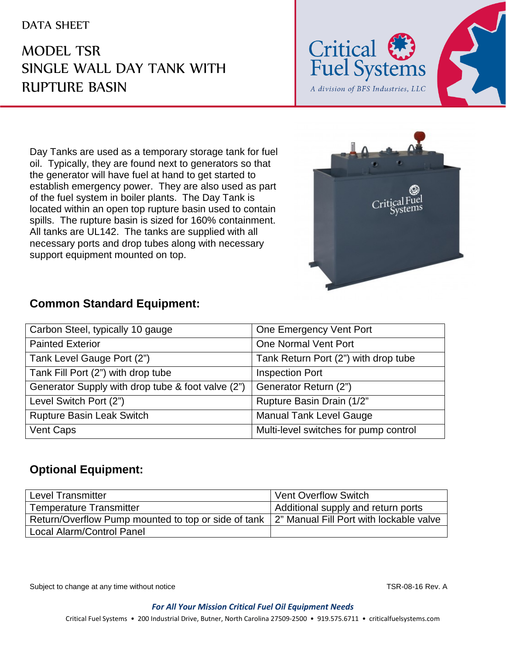## DATA SHEET

## MODEL TSR SINGLE WALL DAY TANK WITH RUPTURE BASIN



Day Tanks are used as a temporary storage tank for fuel oil. Typically, they are found next to generators so that the generator will have fuel at hand to get started to establish emergency power. They are also used as part of the fuel system in boiler plants. The Day Tank is located within an open top rupture basin used to contain spills. The rupture basin is sized for 160% containment. All tanks are UL142. The tanks are supplied with all necessary ports and drop tubes along with necessary support equipment mounted on top.



## **Common Standard Equipment:**

| Carbon Steel, typically 10 gauge                  | One Emergency Vent Port               |
|---------------------------------------------------|---------------------------------------|
| <b>Painted Exterior</b>                           | One Normal Vent Port                  |
| Tank Level Gauge Port (2")                        | Tank Return Port (2") with drop tube  |
| Tank Fill Port (2") with drop tube                | <b>Inspection Port</b>                |
| Generator Supply with drop tube & foot valve (2") | Generator Return (2")                 |
| Level Switch Port (2")                            | Rupture Basin Drain (1/2"             |
| <b>Rupture Basin Leak Switch</b>                  | <b>Manual Tank Level Gauge</b>        |
| Vent Caps                                         | Multi-level switches for pump control |

## **Optional Equipment:**

| Level Transmitter                                                                             | <b>Vent Overflow Switch</b>        |
|-----------------------------------------------------------------------------------------------|------------------------------------|
| Temperature Transmitter                                                                       | Additional supply and return ports |
| Return/Overflow Pump mounted to top or side of tank   2" Manual Fill Port with lockable valve |                                    |
| Local Alarm/Control Panel                                                                     |                                    |

Subject to change at any time without notice TSR-08-16 Rev. A